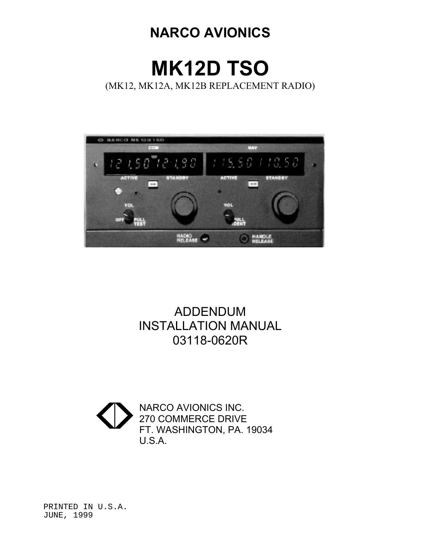## **NARCO AVIONICS**

# **MK12D TSO**  (MK12, MK12A, MK12B REPLACEMENT RADIO)



## ADDENDUM INSTALLATION MANUAL 03118-0620R



PRINTED IN U.S.A. JUNE, 1999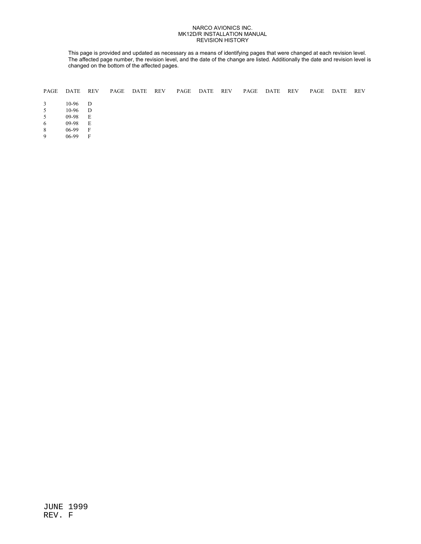#### NARCO AVIONICS INC. MK12D/R INSTALLATION MANUAL REVISION HISTORY

This page is provided and updated as necessary as a means of identifying pages that were changed at each revision level. The affected page number, the revision level, and the date of the change are listed. Additionally the date and revision level is changed on the bottom of the affected pages.

| PAGE | DATE  | REV          | PAGE | DATE | <b>REV</b> | PAGE | DATE | REV | PAGE | DATE | REV | PAGE | DATE | REV |
|------|-------|--------------|------|------|------------|------|------|-----|------|------|-----|------|------|-----|
| 3    | 10-96 | <sup>D</sup> |      |      |            |      |      |     |      |      |     |      |      |     |
| 5    | 10-96 | D            |      |      |            |      |      |     |      |      |     |      |      |     |
| 5    | 09-98 | E            |      |      |            |      |      |     |      |      |     |      |      |     |
| 6    | 09-98 | E            |      |      |            |      |      |     |      |      |     |      |      |     |
| 8    | 06-99 | F            |      |      |            |      |      |     |      |      |     |      |      |     |
| 9    | 06-99 | $\mathbf{F}$ |      |      |            |      |      |     |      |      |     |      |      |     |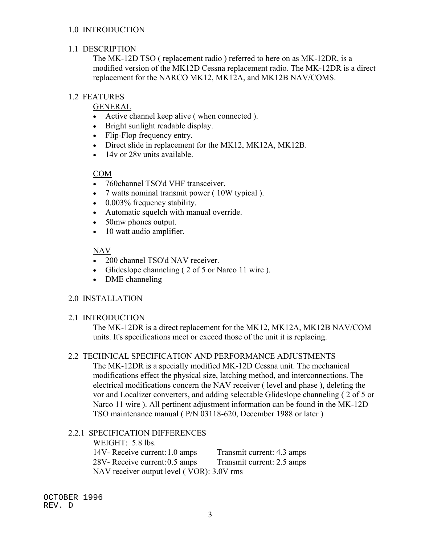#### 1.0 INTRODUCTION

#### 1.1 DESCRIPTION

The MK-12D TSO ( replacement radio ) referred to here on as MK-12DR, is a modified version of the MK12D Cessna replacement radio. The MK-12DR is a direct replacement for the NARCO MK12, MK12A, and MK12B NAV/COMS.

#### 1.2 FEATURES

#### GENERAL

- Active channel keep alive ( when connected ).
- Bright sunlight readable display.
- Flip-Flop frequency entry.
- Direct slide in replacement for the MK12, MK12A, MK12B.
- 14v or 28v units available.

## COM

- 760channel TSO'd VHF transceiver.
- 7 watts nominal transmit power ( 10W typical ).
- 0.003% frequency stability.
- Automatic squelch with manual override.
- 50mw phones output.
- 10 watt audio amplifier.

#### NAV

- 200 channel TSO'd NAV receiver.
- Glideslope channeling (2 of 5 or Narco 11 wire).
- DME channeling

## 2.0 INSTALLATION

## 2.1 INTRODUCTION

The MK-12DR is a direct replacement for the MK12, MK12A, MK12B NAV/COM units. It's specifications meet or exceed those of the unit it is replacing.

## 2.2 TECHNICAL SPECIFICATION AND PERFORMANCE ADJUSTMENTS

The MK-12DR is a specially modified MK-12D Cessna unit. The mechanical modifications effect the physical size, latching method, and interconnections. The electrical modifications concern the NAV receiver ( level and phase ), deleting the vor and Localizer converters, and adding selectable Glideslope channeling ( 2 of 5 or Narco 11 wire ). All pertinent adjustment information can be found in the MK-12D TSO maintenance manual ( P/N 03118-620, December 1988 or later )

## 2.2.1 SPECIFICATION DIFFERENCES

 WEIGHT: 5.8 lbs. 14V- Receive current: 1.0 amps Transmit current: 4.3 amps 28V- Receive current: 0.5 amps Transmit current: 2.5 amps NAV receiver output level ( VOR): 3.0V rms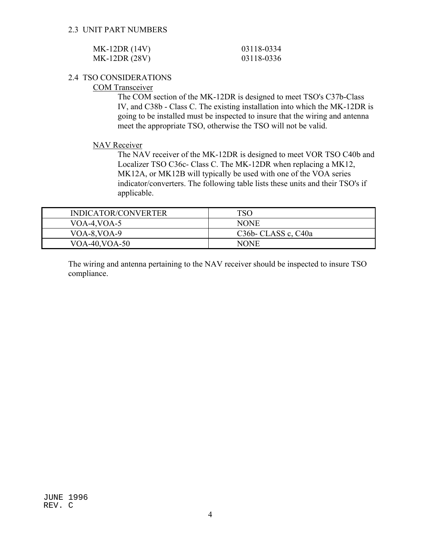#### 2.3 UNIT PART NUMBERS

| $MK-12DR(14V)$ | 03118-0334 |
|----------------|------------|
| MK-12DR (28V)  | 03118-0336 |

#### 2.4 TSO CONSIDERATIONS

#### COM Transceiver

The COM section of the MK-12DR is designed to meet TSO's C37b-Class IV, and C38b - Class C. The existing installation into which the MK-12DR is going to be installed must be inspected to insure that the wiring and antenna meet the appropriate TSO, otherwise the TSO will not be valid.

#### NAV Receiver

The NAV receiver of the MK-12DR is designed to meet VOR TSO C40b and Localizer TSO C36c- Class C. The MK-12DR when replacing a MK12, MK12A, or MK12B will typically be used with one of the VOA series indicator/converters. The following table lists these units and their TSO's if applicable.

| INDICATOR/CONVERTER | TSO                                          |
|---------------------|----------------------------------------------|
| $VOA-4$ , $VOA-5$   | <b>NONE</b>                                  |
| $VOA-8$ , $VOA-9$   | C <sub>36</sub> b-CLASS c, C <sub>40</sub> a |
| VOA-40, VOA-50      | <b>NONE</b>                                  |

The wiring and antenna pertaining to the NAV receiver should be inspected to insure TSO compliance.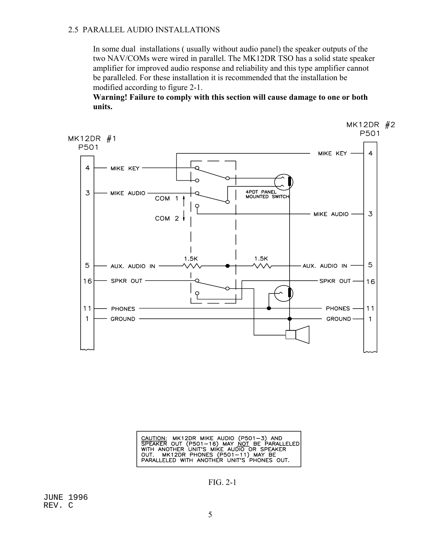#### 2.5 PARALLEL AUDIO INSTALLATIONS

In some dual installations ( usually without audio panel) the speaker outputs of the two NAV/COMs were wired in parallel. The MK12DR TSO has a solid state speaker amplifier for improved audio response and reliability and this type amplifier cannot be paralleled. For these installation it is recommended that the installation be modified according to figure 2-1.

**Warning! Failure to comply with this section will cause damage to one or both units.** 



FIG. 2-1

CAUTION: MK12DR MIKE AUDIO (P501-3) AND<br>SPEAKER OUT (P501-16) MAY <u>NOT</u> BE PARALLELED<br>WITH ANOTHER UNIT'S MIKE AUDIO OR SPEAKER<br>OUT. MK12DR PHONES (P501-11) MAY BE<br>PARALLELED WITH ANOTHER UNIT'S PHONES OUT.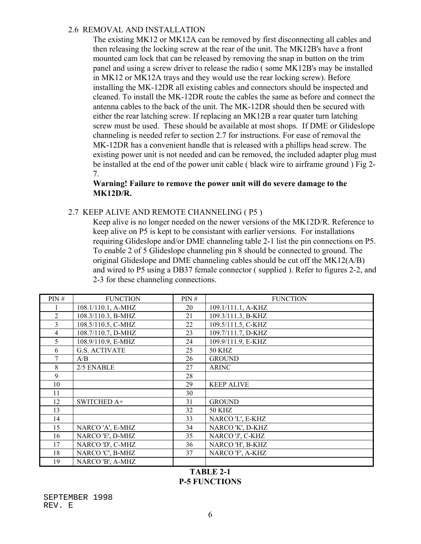#### 2.6 REMOVAL AND INSTALLATION

The existing MK12 or MK12A can be removed by first disconnecting all cables and then releasing the locking screw at the rear of the unit. The MK12B's have a front mounted cam lock that can be released by removing the snap in button on the trim panel and using a screw driver to release the radio ( some MK12B's may be installed in MK12 or MK12A trays and they would use the rear locking screw). Before installing the MK-12DR all existing cables and connectors should be inspected and cleaned. To install the MK-12DR route the cables the same as before and connect the antenna cables to the back of the unit. The MK-12DR should then be secured with either the rear latching screw. If replacing an MK12B a rear quater turn latching screw must be used. These should be available at most shops. If DME or Glideslope channeling is needed refer to section 2.7 for instructions. For ease of removal the MK-12DR has a convenient handle that is released with a phillips head screw. The existing power unit is not needed and can be removed, the included adapter plug must be installed at the end of the power unit cable ( black wire to airframe ground ) Fig 2- 7.

#### **Warning! Failure to remove the power unit will do severe damage to the MK12D/R.**

## 2.7 KEEP ALIVE AND REMOTE CHANNELING ( P5 )

Keep alive is no longer needed on the newer versions of the MK12D/R. Reference to keep alive on P5 is kept to be consistant with earlier versions. For installations requiring Glideslope and/or DME channeling table 2-1 list the pin connections on P5. To enable 2 of 5 Glideslope channeling pin 8 should be connected to ground. The original Glideslope and DME channeling cables should be cut off the MK12(A/B) and wired to P5 using a DB37 female connector ( supplied ). Refer to figures 2-2, and 2-3 for these channeling connections.

| PIN#           | <b>FUNCTION</b>      | PIN# | <b>FUNCTION</b>    |
|----------------|----------------------|------|--------------------|
|                | 108.1/110.1, A-MHZ   | 20   | 109.1/111.1, A-KHZ |
| $\overline{2}$ | 108.3/110.3, B-MHZ   | 21   | 109.3/111.3, B-KHZ |
| 3              | 108.5/110.5, C-MHZ   | 22   | 109.5/111.5, C-KHZ |
| 4              | 108.7/110.7, D-MHZ   | 23   | 109.7/111.7, D-KHZ |
| 5.             | 108.9/110.9, E-MHZ   | 24   | 109.9/111.9, E-KHZ |
| 6              | <b>G.S. ACTIVATE</b> | 25   | <b>50 KHZ</b>      |
| 7              | A/B                  | 26   | <b>GROUND</b>      |
| 8              | 2/5 ENABLE           | 27   | <b>ARINC</b>       |
| 9              |                      | 28   |                    |
| 10             |                      | 29   | <b>KEEP ALIVE</b>  |
| 11             |                      | 30   |                    |
| 12             | SWITCHED A+          | 31   | <b>GROUND</b>      |
| 13             |                      | 32   | 50 KHZ             |
| 14             |                      | 33   | NARCO 'L', E-KHZ   |
| 15             | NARCO'A', E-MHZ      | 34   | NARCO 'K', D-KHZ   |
| 16             | NARCO'E', D-MHZ      | 35   | NARCO 'J', C-KHZ   |
| 17             | NARCO 'D', C-MHZ     | 36   | NARCO 'H', B-KHZ   |
| 18             | NARCO 'C', B-MHZ     | 37   | NARCO 'F', A-KHZ   |
| 19             | NARCO 'B', A-MHZ     |      |                    |

## **TABLE 2-1 P-5 FUNCTIONS**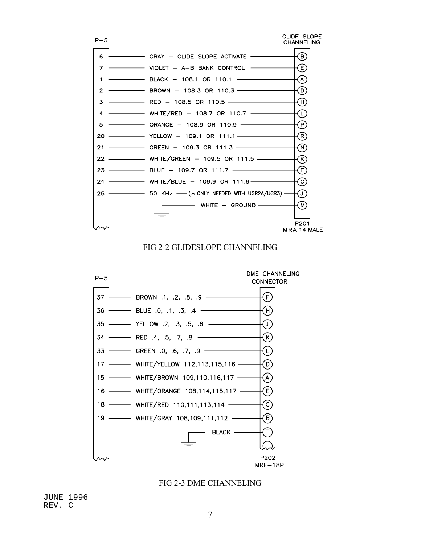





#### FIG 2-3 DME CHANNELING

JUNE 1996 REV. C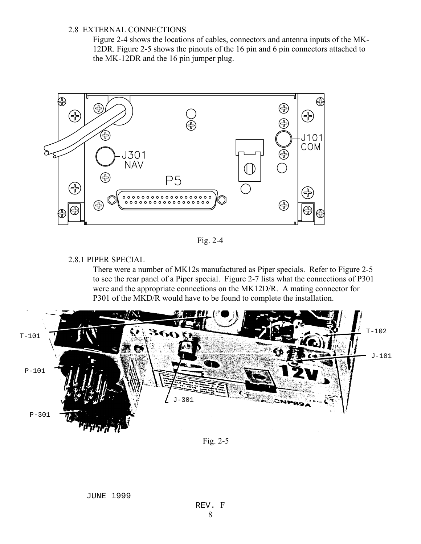#### 2.8 EXTERNAL CONNECTIONS

Figure 2-4 shows the locations of cables, connectors and antenna inputs of the MK-12DR. Figure 2-5 shows the pinouts of the 16 pin and 6 pin connectors attached to the MK-12DR and the 16 pin jumper plug.



Fig. 2-4

#### 2.8.1 PIPER SPECIAL

There were a number of MK12s manufactured as Piper specials. Refer to Figure 2-5 to see the rear panel of a Piper special. Figure 2-7 lists what the connections of P301 were and the appropriate connections on the MK12D/R. A mating connector for P301 of the MKD/R would have to be found to complete the installation.



Fig. 2-5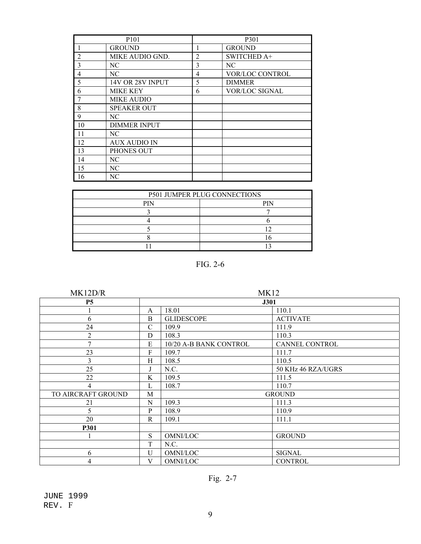|                | P <sub>10</sub> 1   | P301           |                 |  |
|----------------|---------------------|----------------|-----------------|--|
|                | <b>GROUND</b>       |                | <b>GROUND</b>   |  |
| $\overline{2}$ | MIKE AUDIO GND.     | $\overline{2}$ | SWITCHED A+     |  |
| 3              | NC                  | 3              | NC              |  |
| 4              | NC                  | $\overline{4}$ | VOR/LOC CONTROL |  |
| 5              | 14V OR 28V INPUT    | 5              | <b>DIMMER</b>   |  |
| 6              | MIKE KEY            | 6              | VOR/LOC SIGNAL  |  |
|                | <b>MIKE AUDIO</b>   |                |                 |  |
| 8              | <b>SPEAKER OUT</b>  |                |                 |  |
| 9              | NC.                 |                |                 |  |
| 10             | <b>DIMMER INPUT</b> |                |                 |  |
| 11             | NC                  |                |                 |  |
| 12             | <b>AUX AUDIO IN</b> |                |                 |  |
| 13             | PHONES OUT          |                |                 |  |
| 14             | NC                  |                |                 |  |
| 15             | NC                  |                |                 |  |
| 16             | NC                  |                |                 |  |

| P501 JUMPER PLUG CONNECTIONS |     |  |  |  |
|------------------------------|-----|--|--|--|
| PIN                          | PIN |  |  |  |
|                              |     |  |  |  |
|                              |     |  |  |  |
|                              |     |  |  |  |
|                              |     |  |  |  |
|                              |     |  |  |  |

FIG. 2-6

| MK12D/R            | <b>MK12</b>  |                        |                    |  |  |
|--------------------|--------------|------------------------|--------------------|--|--|
| <b>P5</b>          | <b>J301</b>  |                        |                    |  |  |
|                    | A            | 18.01                  | 110.1              |  |  |
| 6                  | B            | <b>GLIDESCOPE</b>      | <b>ACTIVATE</b>    |  |  |
| 24                 | $\mathsf{C}$ | 109.9                  | 111.9              |  |  |
| $\overline{2}$     | D            | 108.3                  | 110.3              |  |  |
| 7                  | E            | 10/20 A-B BANK CONTROL | CANNEL CONTROL     |  |  |
| 23                 | F            | 109.7                  | 111.7              |  |  |
| 3                  | Η            | 108.5                  | 110.5              |  |  |
| 25                 | J            | N.C.                   | 50 KHz 46 RZA/UGRS |  |  |
| 22                 | K            | 109.5                  | 111.5              |  |  |
| $\overline{4}$     | L            | 108.7                  | 110.7              |  |  |
| TO AIRCRAFT GROUND | M            | <b>GROUND</b>          |                    |  |  |
| 21                 | N            | 109.3                  | 111.3              |  |  |
| 5                  | P            | 108.9                  | 110.9              |  |  |
| 20                 | R            | 109.1                  | 111.1              |  |  |
| P301               |              |                        |                    |  |  |
|                    | S            | OMNI/LOC               | <b>GROUND</b>      |  |  |
|                    | T            | N.C.                   |                    |  |  |
| 6                  | U            | OMNI/LOC               | <b>SIGNAL</b>      |  |  |
| 4                  | V            | OMNI/LOC               | <b>CONTROL</b>     |  |  |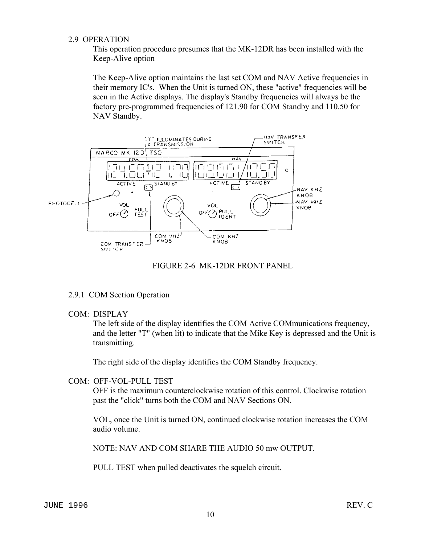#### 2.9 OPERATION

This operation procedure presumes that the MK-12DR has been installed with the Keep-Alive option

The Keep-Alive option maintains the last set COM and NAV Active frequencies in their memory IC's. When the Unit is turned ON, these "active" frequencies will be seen in the Active displays. The display's Standby frequencies will always be the factory pre-programmed frequencies of 121.90 for COM Standby and 110.50 for NAV Standby.



FIGURE 2-6 MK-12DR FRONT PANEL

2.9.1 COM Section Operation

#### COM: DISPLAY

The left side of the display identifies the COM Active COMmunications frequency, and the letter "T" (when lit) to indicate that the Mike Key is depressed and the Unit is transmitting.

The right side of the display identifies the COM Standby frequency.

#### COM: OFF-VOL-PULL TEST

OFF is the maximum counterclockwise rotation of this control. Clockwise rotation past the "click" turns both the COM and NAV Sections ON.

VOL, once the Unit is turned ON, continued clockwise rotation increases the COM audio volume.

NOTE: NAV AND COM SHARE THE AUDIO 50 mw OUTPUT.

PULL TEST when pulled deactivates the squelch circuit.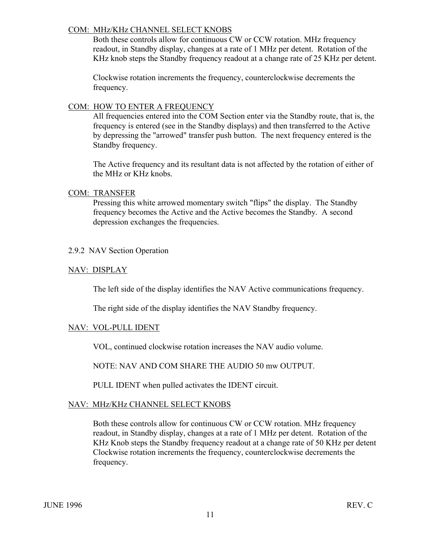#### COM: MHz/KHz CHANNEL SELECT KNOBS

Both these controls allow for continuous CW or CCW rotation. MHz frequency readout, in Standby display, changes at a rate of 1 MHz per detent. Rotation of the KHz knob steps the Standby frequency readout at a change rate of 25 KHz per detent.

Clockwise rotation increments the frequency, counterclockwise decrements the frequency.

#### COM: HOW TO ENTER A FREQUENCY

All frequencies entered into the COM Section enter via the Standby route, that is, the frequency is entered (see in the Standby displays) and then transferred to the Active by depressing the "arrowed" transfer push button. The next frequency entered is the Standby frequency.

The Active frequency and its resultant data is not affected by the rotation of either of the MHz or KHz knobs.

#### COM: TRANSFER

Pressing this white arrowed momentary switch "flips" the display. The Standby frequency becomes the Active and the Active becomes the Standby. A second depression exchanges the frequencies.

#### 2.9.2 NAV Section Operation

#### NAV: DISPLAY

The left side of the display identifies the NAV Active communications frequency.

The right side of the display identifies the NAV Standby frequency.

## NAV: VOL-PULL IDENT

VOL, continued clockwise rotation increases the NAV audio volume.

NOTE: NAV AND COM SHARE THE AUDIO 50 mw OUTPUT.

PULL IDENT when pulled activates the IDENT circuit.

## NAV: MHz/KHz CHANNEL SELECT KNOBS

Both these controls allow for continuous CW or CCW rotation. MHz frequency readout, in Standby display, changes at a rate of 1 MHz per detent. Rotation of the KHz Knob steps the Standby frequency readout at a change rate of 50 KHz per detent Clockwise rotation increments the frequency, counterclockwise decrements the frequency.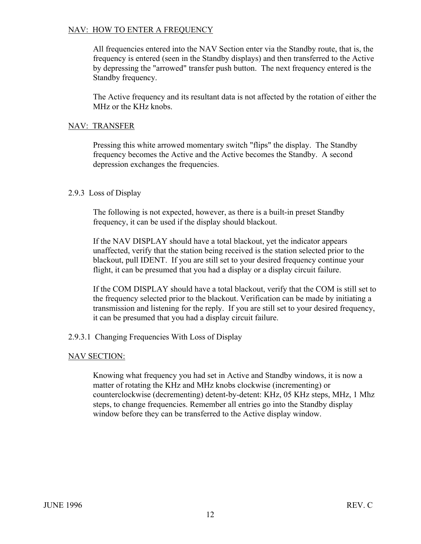#### NAV: HOW TO ENTER A FREQUENCY

All frequencies entered into the NAV Section enter via the Standby route, that is, the frequency is entered (seen in the Standby displays) and then transferred to the Active by depressing the "arrowed" transfer push button. The next frequency entered is the Standby frequency.

The Active frequency and its resultant data is not affected by the rotation of either the MHz or the KHz knobs.

#### NAV: TRANSFER

Pressing this white arrowed momentary switch "flips" the display. The Standby frequency becomes the Active and the Active becomes the Standby. A second depression exchanges the frequencies.

#### 2.9.3 Loss of Display

The following is not expected, however, as there is a built-in preset Standby frequency, it can be used if the display should blackout.

If the NAV DISPLAY should have a total blackout, yet the indicator appears unaffected, verify that the station being received is the station selected prior to the blackout, pull IDENT. If you are still set to your desired frequency continue your flight, it can be presumed that you had a display or a display circuit failure.

If the COM DISPLAY should have a total blackout, verify that the COM is still set to the frequency selected prior to the blackout. Verification can be made by initiating a transmission and listening for the reply. If you are still set to your desired frequency, it can be presumed that you had a display circuit failure.

#### 2.9.3.1 Changing Frequencies With Loss of Display

#### NAV SECTION:

Knowing what frequency you had set in Active and Standby windows, it is now a matter of rotating the KHz and MHz knobs clockwise (incrementing) or counterclockwise (decrementing) detent-by-detent: KHz, 05 KHz steps, MHz, 1 Mhz steps, to change frequencies. Remember all entries go into the Standby display window before they can be transferred to the Active display window.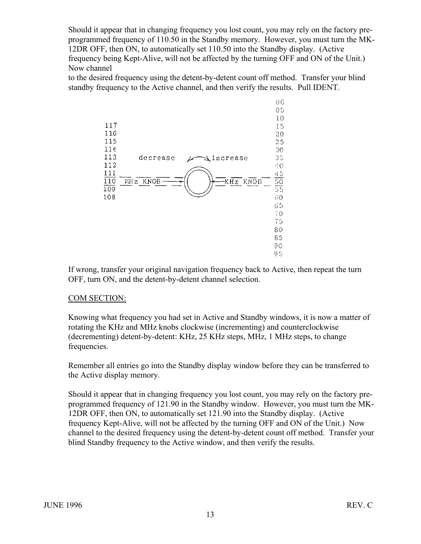Should it appear that in changing frequency you lost count, you may rely on the factory preprogrammed frequency of 110.50 in the Standby memory. However, you must turn the MK-12DR OFF, then ON, to automatically set 110.50 into the Standby display. (Active frequency being Kept-Alive, will not be affected by the turning OFF and ON of the Unit.) Now channel

to the desired frequency using the detent-by-detent count off method. Transfer your blind standby frequency to the Active channel, and then verify the results. Pull IDENT.



If wrong, transfer your original navigation frequency back to Active, then repeat the turn OFF, turn ON, and the detent-by-detent channel selection.

#### COM SECTION:

Knowing what frequency you had set in Active and Standby windows, it is now a matter of rotating the KHz and MHz knobs clockwise (incrementing) and counterclockwise (decrementing) detent-by-detent: KHz, 25 KHz steps, MHz, 1 MHz steps, to change frequencies.

Remember all entries go into the Standby display window before they can be transferred to the Active display memory.

Should it appear that in changing frequency you lost count, you may rely on the factory preprogrammed frequency of 121.90 in the Standby window. However, you must turn the MK-12DR OFF, then ON, to automatically set 121.90 into the Standby display. (Active frequency Kept-Alive, will not be affected by the turning OFF and ON of the Unit.) Now channel to the desired frequency using the detent-by-detent count off method. Transfer your blind Standby frequency to the Active window, and then verify the results.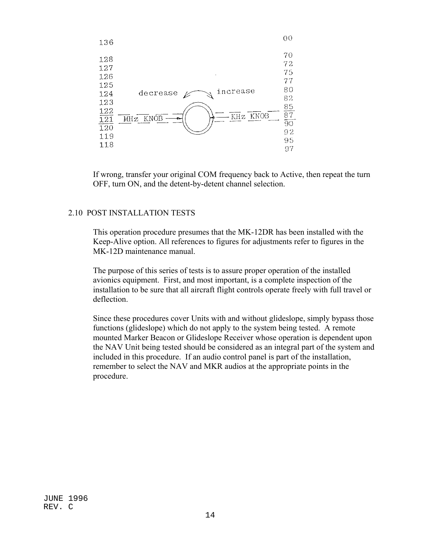

If wrong, transfer your original COM frequency back to Active, then repeat the turn OFF, turn ON, and the detent-by-detent channel selection.

#### 2.10 POST INSTALLATION TESTS

This operation procedure presumes that the MK-12DR has been installed with the Keep-Alive option. All references to figures for adjustments refer to figures in the MK-12D maintenance manual.

The purpose of this series of tests is to assure proper operation of the installed avionics equipment. First, and most important, is a complete inspection of the installation to be sure that all aircraft flight controls operate freely with full travel or deflection.

Since these procedures cover Units with and without glideslope, simply bypass those functions (glideslope) which do not apply to the system being tested. A remote mounted Marker Beacon or Glideslope Receiver whose operation is dependent upon the NAV Unit being tested should be considered as an integral part of the system and included in this procedure. If an audio control panel is part of the installation, remember to select the NAV and MKR audios at the appropriate points in the procedure.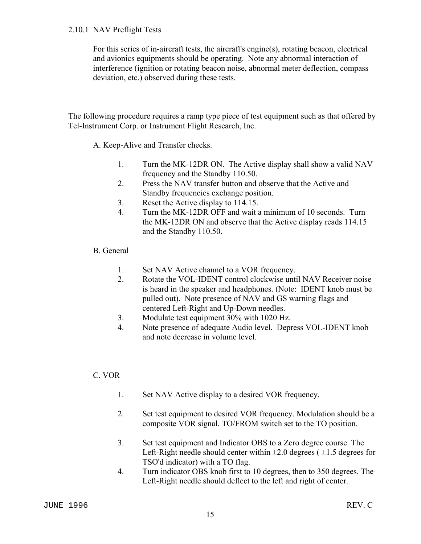#### 2.10.1 NAV Preflight Tests

For this series of in-aircraft tests, the aircraft's engine(s), rotating beacon, electrical and avionics equipments should be operating. Note any abnormal interaction of interference (ignition or rotating beacon noise, abnormal meter deflection, compass deviation, etc.) observed during these tests.

The following procedure requires a ramp type piece of test equipment such as that offered by Tel-Instrument Corp. or Instrument Flight Research, Inc.

A. Keep-Alive and Transfer checks.

- 1. Turn the MK-12DR ON. The Active display shall show a valid NAV frequency and the Standby 110.50.
- 2. Press the NAV transfer button and observe that the Active and Standby frequencies exchange position.
- 3. Reset the Active display to 114.15.
- 4. Turn the MK-12DR OFF and wait a minimum of 10 seconds. Turn the MK-12DR ON and observe that the Active display reads 114.15 and the Standby 110.50.

## B. General

- 1. Set NAV Active channel to a VOR frequency.
- 2. Rotate the VOL-IDENT control clockwise until NAV Receiver noise is heard in the speaker and headphones. (Note: IDENT knob must be pulled out). Note presence of NAV and GS warning flags and centered Left-Right and Up-Down needles.
- 3. Modulate test equipment 30% with 1020 Hz.
- 4. Note presence of adequate Audio level. Depress VOL-IDENT knob and note decrease in volume level.

## C. VOR

- 1. Set NAV Active display to a desired VOR frequency.
- 2. Set test equipment to desired VOR frequency. Modulation should be a composite VOR signal. TO/FROM switch set to the TO position.
- 3. Set test equipment and Indicator OBS to a Zero degree course. The Left-Right needle should center within  $\pm 2.0$  degrees ( $\pm 1.5$  degrees for TSO'd indicator) with a TO flag.
- 4. Turn indicator OBS knob first to 10 degrees, then to 350 degrees. The Left-Right needle should deflect to the left and right of center.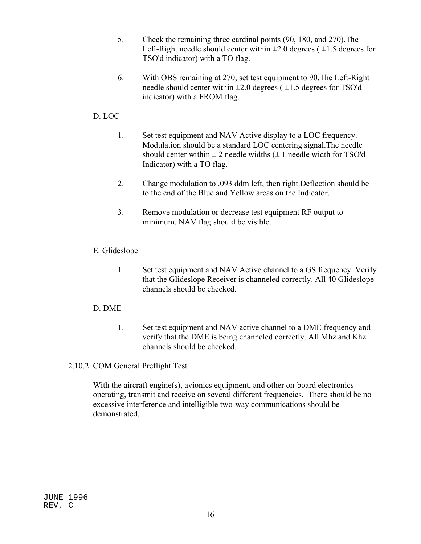- 5. Check the remaining three cardinal points (90, 180, and 270).The Left-Right needle should center within  $\pm 2.0$  degrees ( $\pm 1.5$  degrees for TSO'd indicator) with a TO flag.
- 6. With OBS remaining at 270, set test equipment to 90.The Left-Right needle should center within  $\pm 2.0$  degrees ( $\pm 1.5$  degrees for TSO'd indicator) with a FROM flag.

## D. LOC

- 1. Set test equipment and NAV Active display to a LOC frequency. Modulation should be a standard LOC centering signal.The needle should center within  $\pm 2$  needle widths ( $\pm 1$  needle width for TSO'd Indicator) with a TO flag.
- 2. Change modulation to .093 ddm left, then right.Deflection should be to the end of the Blue and Yellow areas on the Indicator.
- 3. Remove modulation or decrease test equipment RF output to minimum. NAV flag should be visible.

## E. Glideslope

1. Set test equipment and NAV Active channel to a GS frequency. Verify that the Glideslope Receiver is channeled correctly. All 40 Glideslope channels should be checked.

#### D. DME

1. Set test equipment and NAV active channel to a DME frequency and verify that the DME is being channeled correctly. All Mhz and Khz channels should be checked.

## 2.10.2 COM General Preflight Test

With the aircraft engine(s), avionics equipment, and other on-board electronics operating, transmit and receive on several different frequencies. There should be no excessive interference and intelligible two-way communications should be demonstrated.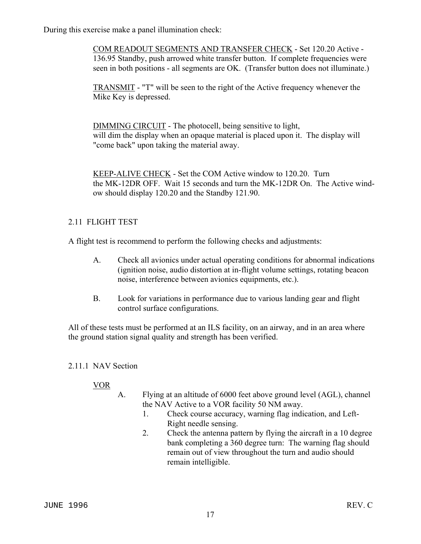During this exercise make a panel illumination check:

COM READOUT SEGMENTS AND TRANSFER CHECK - Set 120.20 Active - 136.95 Standby, push arrowed white transfer button. If complete frequencies were seen in both positions - all segments are OK. (Transfer button does not illuminate.)

TRANSMIT - "T" will be seen to the right of the Active frequency whenever the Mike Key is depressed.

DIMMING CIRCUIT - The photocell, being sensitive to light, will dim the display when an opaque material is placed upon it. The display will "come back" upon taking the material away.

KEEP-ALIVE CHECK - Set the COM Active window to 120.20. Turn the MK-12DR OFF. Wait 15 seconds and turn the MK-12DR On. The Active window should display 120.20 and the Standby 121.90.

## 2.11 FLIGHT TEST

A flight test is recommend to perform the following checks and adjustments:

- A. Check all avionics under actual operating conditions for abnormal indications (ignition noise, audio distortion at in-flight volume settings, rotating beacon noise, interference between avionics equipments, etc.).
- B. Look for variations in performance due to various landing gear and flight control surface configurations.

All of these tests must be performed at an ILS facility, on an airway, and in an area where the ground station signal quality and strength has been verified.

## 2.11.1 NAV Section

## VOR

- A. Flying at an altitude of 6000 feet above ground level (AGL), channel the NAV Active to a VOR facility 50 NM away.
	- 1. Check course accuracy, warning flag indication, and Left-Right needle sensing.
	- 2. Check the antenna pattern by flying the aircraft in a 10 degree bank completing a 360 degree turn: The warning flag should remain out of view throughout the turn and audio should remain intelligible.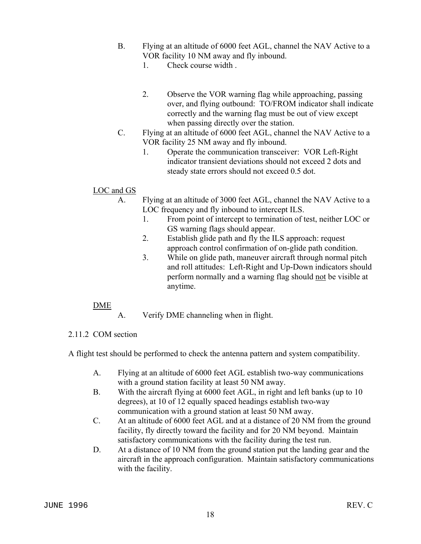- B. Flying at an altitude of 6000 feet AGL, channel the NAV Active to a VOR facility 10 NM away and fly inbound.
	- 1. Check course width .
	- 2. Observe the VOR warning flag while approaching, passing over, and flying outbound: TO/FROM indicator shall indicate correctly and the warning flag must be out of view except when passing directly over the station.
- C. Flying at an altitude of 6000 feet AGL, channel the NAV Active to a VOR facility 25 NM away and fly inbound.
	- 1. Operate the communication transceiver: VOR Left-Right indicator transient deviations should not exceed 2 dots and steady state errors should not exceed 0.5 dot.

## LOC and GS

- A. Flying at an altitude of 3000 feet AGL, channel the NAV Active to a LOC frequency and fly inbound to intercept ILS.
	- 1. From point of intercept to termination of test, neither LOC or GS warning flags should appear.
	- 2. Establish glide path and fly the ILS approach: request approach control confirmation of on-glide path condition.
	- 3. While on glide path, maneuver aircraft through normal pitch and roll attitudes: Left-Right and Up-Down indicators should perform normally and a warning flag should not be visible at anytime.

## DME

A. Verify DME channeling when in flight.

## 2.11.2 COM section

A flight test should be performed to check the antenna pattern and system compatibility.

- A. Flying at an altitude of 6000 feet AGL establish two-way communications with a ground station facility at least 50 NM away.
- B. With the aircraft flying at 6000 feet AGL, in right and left banks (up to 10 degrees), at 10 of 12 equally spaced headings establish two-way communication with a ground station at least 50 NM away.
- C. At an altitude of 6000 feet AGL and at a distance of 20 NM from the ground facility, fly directly toward the facility and for 20 NM beyond. Maintain satisfactory communications with the facility during the test run.
- D. At a distance of 10 NM from the ground station put the landing gear and the aircraft in the approach configuration. Maintain satisfactory communications with the facility.